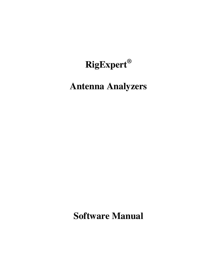## **RigExpert®**

# **Antenna Analyzers**

**Software Manual**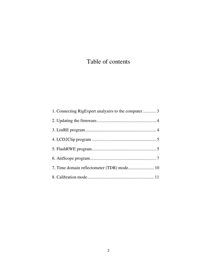## Table of contents

| 1. Connecting RigExpert analyzers to the computer3 |
|----------------------------------------------------|
|                                                    |
|                                                    |
|                                                    |
|                                                    |
|                                                    |
|                                                    |
|                                                    |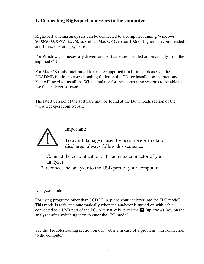## **1. Connecting RigExpert analyzers to the computer**

RigExpert antenna analyzers can be connected to a computer running Windows 2000/2003/XP/Vista/7/8, as well as Mac OS (version 10.6 or higher is recommended) and Linux operating systems.

For Windows, all necessary drivers and software are installed automatically from the supplied CD.

For Mac OS (only Intel-based Macs are supported) and Linux, please see the README file in the corresponding folder on the CD for installation instructions. You will need to install the Wine emulator for these operating systems to be able to use the analyzer software.

The latest version of the software may be found at the Downloads section of the www.rigexpert.com website.



Important:

To avoid damage caused by possible electrostatic discharge, always follow this sequence:

- 1. Connect the coaxial cable to the antenna connector of your analyzer.
- 2. Connect the analyzer to the USB port of your computer.

### Analyzer mode:

For using programs other than LCD2Clip, place your analyzer into the "PC mode". This mode is activated automatically when the analyzer is turned on with cable connected to a USB port of the PC. Alternatively, press the  $\triangle$  (up arrow) key on the analyzer after switching it on to enter the "PC mode".

See the Troubleshooting section on our website in case of a problem with connection to the computer.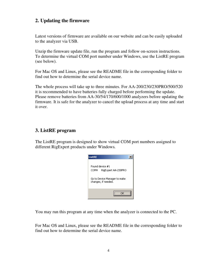## **2. Updating the firmware**

Latest versions of firmware are available on our website and can be easily uploaded to the analyzer via USB.

Unzip the firmware update file, run the program and follow on-screen instructions. To determine the virtual COM port number under Windows, use the ListRE program (see below).

For Mac OS and Linux, please see the README file in the corresponding folder to find out how to determine the serial device name.

The whole process will take up to three minutes. For AA-200/230/230PRO/500/520 it is recommended to have batteries fully charged before performing the update. Please remove batteries from AA-30/54/170/600/1000 analyzers before updating the firmware. It is safe for the analyzer to cancel the upload process at any time and start it over.

## **3. ListRE program**

The ListRE program is designed to show virtual COM port numbers assigned to different RigExpert products under Windows.

| <b>ListRE</b>                                                                                         |  |
|-------------------------------------------------------------------------------------------------------|--|
| Found device #1<br>RigExpert AA-230PRO<br>COM4<br>Go to Device Manager to make<br>changes, if needed. |  |
|                                                                                                       |  |

You may run this program at any time when the analyzer is connected to the PC.

For Mac OS and Linux, please see the README file in the corresponding folder to find out how to determine the serial device name.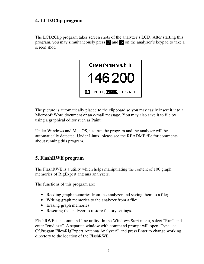## **4. LCD2Clip program**

The LCD2Clip program takes screen shots of the analyzer's LCD. After starting this program, you may simultaneously press F and 6 on the analyzer's keypad to take a screen shot.



The picture is automatically placed to the clipboard so you may easily insert it into a Microsoft Word document or an e-mail message. You may also save it to file by using a graphical editor such as Paint.

Under Windows and Mac OS, just run the program and the analyzer will be automatically detected. Under Linux, please see the README file for comments about running this program.

## **5. FlashRWE program**

The FlashRWE is a utility which helps manipulating the content of 100 graph memories of RigExpert antenna analyzers.

The functions of this program are:

- Reading graph memories from the analyzer and saving them to a file;
- Writing graph memories to the analyzer from a file;
- Erasing graph memories;
- Resetting the analyzer to restore factory settings.

FlashRWE is a command-line utility. In the Windows Start menu, select "Run" and enter "cmd.exe". A separate window with command prompt will open. Type "cd C:\Progam Files\RigExpert Antenna Analyzer\" and press Enter to change working directory to the location of the FlashRWE.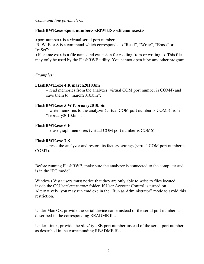*Command line parameters:* 

#### **FlashRWE.exe <port number> <R|W|E|S> <filename.ext>**

<port number> is a virtual serial port number;

 R, W, E or S is a command which corresponds to "Read", "Write", "Erase" or "reSet";

<filename.ext> is a file name and extension for reading from or writing to. This file may only be used by the FlashRWE utility. You cannot open it by any other program.

*Examples:* 

#### **FlashRWE.exe 4 R march2010.bin**

– read memories from the analyzer (virtual COM port number is COM4) and save them to "march2010.bin";

#### **FlashRWE.exe 5 W february2010.bin**

– write memories to the analyzer (virtual COM port number is COM5) from "february2010.bin";

#### **FlashRWE.exe 6 E**

– erase graph memories (virtual COM port number is COM6);

#### **FlashRWE.exe 7 S**

– reset the analyzer and restore its factory settings (virtual COM port number is COM7).

Before running FlashRWE, make sure the analyzer is connected to the computer and is in the "PC mode".

Windows Vista users must notice that they are only able to write to files located inside the C:\Users\*username*\ folder, if User Account Control is turned on. Alternatively, you may run cmd.exe in the "Run as Administrator" mode to avoid this restriction.

Under Mac OS, provide the serial device name instead of the serial port number, as described in the corresponding README file.

Under Linux, provide the /dev/ttyUSB port number instead of the serial port number, as described in the corresponding README file.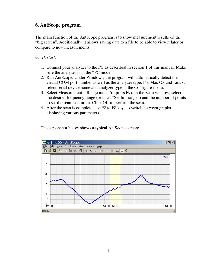### **6. AntScope program**

The main function of the AntScope program is to show measurement results on the "big screen". Additionally, it allows saving data to a file to be able to view it later or compare to new measurements.

#### *Quick start:*

- 1. Connect your analyzer to the PC as described in section 1 of this manual. Make sure the analyzer is in the "PC mode".
- 2. Run AntScope. Under Windows, the program will automatically detect the virtual COM port number as well as the analyzer type. For Mac OS and Linux, select serial device name and analyzer type in the Configure menu.
- 3. Select Measurement Range menu (or press F9). In the Scan window, select the desired frequency range (or click "Set full range") and the number of points to set the scan resolution. Click OK to perform the scan.
- 4. After the scan is complete, use F2 to F8 keys to switch between graphs displaying various parameters.

The screenshot below shows a typical AntScope screen:

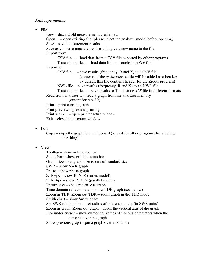*AntScope menus:* 

• File

 New – discard old measurement, create new Open… – open existing file (please select the analyzer model before opening) Save – save measurement results Save as… – save measurement results, give a new name to the file Import from CSV file… – load data from a CSV file exported by other programs Touchstone file… – load data from a Touchstone *S1P* file Export to CSV file... – save results (frequency, R and X) to a CSV file (contents of the *csvheader.txt* file will be added as a header; by default this file contains header for the Zplots program) NWL file… save results (frequency, R and X) to an NWL file Touchstone file… – save results to Touchstone *S1P* file in different formats Read from analyzer… – read a graph from the analyzer memory (except for AA-30) Print – print current graph Print preview – preview printing Print setup… – open printer setup window Exit – close the program window

• Edit

Copy – copy the graph to the clipboard (to paste to other programs for viewing or editing)

#### • View

Toolbar – show or hide tool bar Status bar – show or hide status bar Graph size – set graph size to one of standard sizes SWR – show SWR graph Phase – show phase graph  $Z=R+jX -$ show R, X, Z (series model)  $Z=R||+iX - show R, X, Z (parallel model)$ Return loss – show return loss graph Time domain reflectometer – show TDR graph (see below) Zoom in TDR, Zoom out TDR – zoom graph in the TDR mode Smith chart – show Smith chart Set SWR circle radius – set radius of reference circle (in SWR units) Zoom in graph, Zoom out graph – zoom the vertical axis of the graph Info under cursor – show numerical values of various parameters when the cursor is over the graph Show previous graph – put a graph over an old one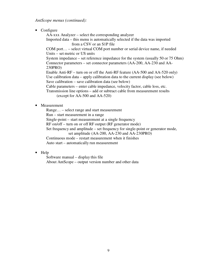*AntScope menus (continued):* 

• Configure

AA-xxx Analyzer – select the corresponding analyzer Imported data – this menu is automatically selected if the data was imported from a CSV or an S1P file

COM port… – select virtual COM port number or serial device name, if needed Units – set metric or US units

System impedance – set reference impedance for the system (usually 50 or 75 Ohm) Connector parameters – set connector parameters (AA-200, AA-230 and AA-230PRO)

Enable Anti-RF – turn on or off the Anti-RF feature (AA-500 and AA-520 only) Use calibration data – apply calibration data to the current display (see below) Save calibration – save calibration data (see below)

Cable parameters – enter cable impedance, velocity factor, cable loss, etc.

Transmission line options – add or subtract cable from measurement results (except for AA-500 and AA-520)

• Measurement

Range… – select range and start measurement

Run – start measurement in a range

Single-point – start measurement at a single frequency

RF on/off – turn on or off RF output (RF generator mode)

Set frequency and amplitude – set frequency for single-point or generator mode, set amplitude (AA-200, AA-230 and AA-230PRO)

Continuous mode – restart measurement when it finishes

Auto start – automatically run measurement

• Help

Software manual – display this file About AntScope – output version number and other data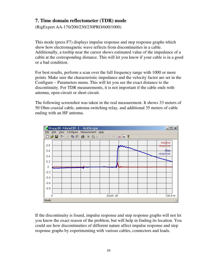## **7. Time domain reflectometer (TDR) mode**

(RigExpert AA-170/200/230/230PRO/600/1000)

This mode (press F7) displays impulse response and step response graphs which show how electromagnetic wave reflects from discontinuities in a cable. Additionally, a tooltip near the cursor shows estimated value of the impedance of a cable at the corresponding distance. This will let you know if your cable is in a good or a bad condition.

For best results, perform a scan over the full frequency range with 1000 or more points. Make sure the characteristic impedance and the velocity factor are set in the Configure – Parameters menu. This will let you see the exact distance to the discontinuity. For TDR measurements, it is not important if the cable ends with antenna, open circuit or short circuit.

The following screenshot was taken in the real measurement. It shows 33 meters of 50 Ohm coaxial cable, antenna switching relay, and additional 35 meters of cable ending with an HF antenna.



If the discontinuity is found, impulse response and step response graphs will not let you know the exact reason of the problem, but will help in finding its location. You could see how discontinuities of different nature affect impulse response and step response graphs by experimenting with various cables, connectors and loads.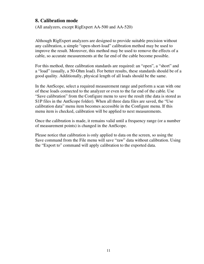## **8. Сalibration mode**

(All analyzers, except RigExpert AA-500 and AA-520)

Although RigExpert analyzers are designed to provide suitable precision without any calibration, a simple "open-short-load" calibration method may be used to improve the result. Moreover, this method may be used to remove the effects of a cable, so accurate measurements at the far end of the cable become possible.

For this method, three calibration standards are required: an "open", a "short" and a "load" (usually, a 50-Ohm load). For better results, these standards should be of a good quality. Additionally, physical length of all loads should be the same.

In the AntScope, select a required measurement range and perform a scan with one of these loads connected to the analyzer or even to the far end of the cable. Use "Save calibration" from the Configure menu to save the result (the data is stored as S1P files in the AntScope folder). When all three data files are saved, the "Use calibration data" menu item becomes accessible in the Configure menu. If this menu item is checked, calibration will be applied to next measurements.

Once the calibration is made, it remains valid until a frequency range (or a number of measurement points) is changed in the AntScope.

Please notice that calibration is only applied to data on the screen, so using the Save command from the File menu will save "raw" data without calibration. Using the "Export to" command will apply calibration to the exported data.